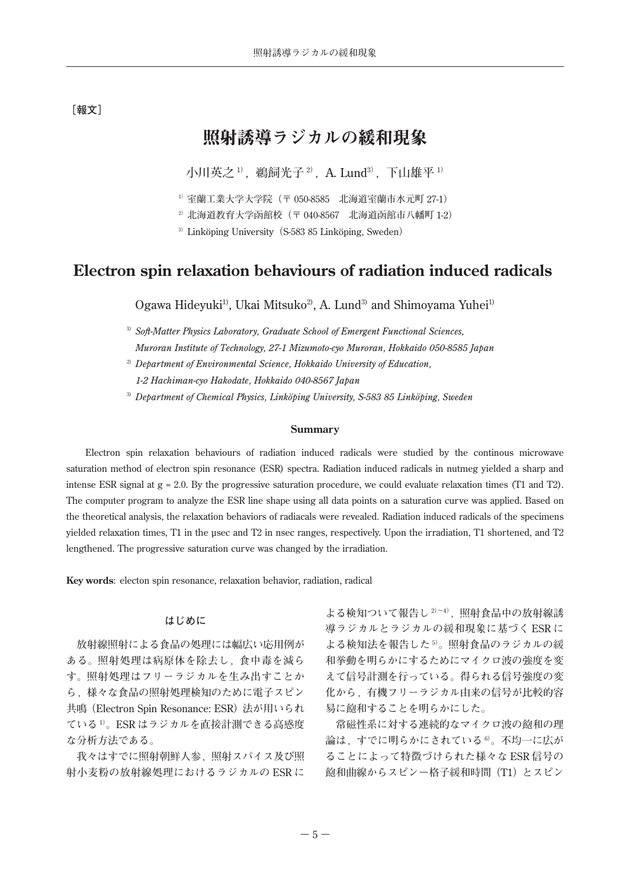# **[報文]**

# 照射誘導ラジカルの緩和現象

**小川英之** <sup>1</sup>**),鵜飼光子** <sup>2</sup>**),**A. Lund3**),下山雄平** <sup>1</sup>**)**

<sup>1</sup>**) 室蘭工業大学大学院(〒** 050-8585 **北海道室蘭市水元町** 27-1**)**

<sup>2</sup>**) 北海道教育大学函館校(〒** 040-8567 **北海道函館市八幡町** 1-2**)**

<sup>3</sup>**)** Linköping University**(**S-583 85 Linköping, Sweden**)**

# **Electron spin relaxation behaviours of radiation induced radicals**

Ogawa Hideyuki<sup>1)</sup>, Ukai Mitsuko<sup>2</sup>, A. Lund<sup>3</sup> and Shimoyama Yuhei<sup>1)</sup>

*1-2 Hachiman-cyo Hakodate, Hokkaido 040-8567 Japan*

3) *Department of Chemical Physics, Linköping University, S-583 85 Linköping, Sweden*

#### **Summary**

Electron spin relaxation behaviours of radiation induced radicals were studied by the continous microwave saturation method of electron spin resonance (ESR) spectra. Radiation induced radicals in nutmeg yielded a sharp and intense ESR signal at g = 2.0. By the progressive saturation procedure, we could evaluate relaxation times (T1 and T2). The computer program to analyze the ESR line shape using all data points on a saturation curve was applied. Based on the theoretical analysis, the relaxation behaviors of radiacals were revealed. Radiation induced radicals of the specimens yielded relaxation times, T1 in the µsec and T2 in nsec ranges, respectively. Upon the irradiation, T1 shortened, and T2 lengthened. The progressive saturation curve was changed by the irradiation.

**Key words:** electon spin resonance, relaxation behavior, radiation, radical

# **はじめに**

 **放射線照射による食品の処理には幅広い応用例が ある。照射処理は病原体を除去し,食中毒を減ら す。照射処理はフリーラジカルを生み出すことか ら,様々な食品の照射処理検知のために電子スピン 共鳴(**Electron Spin Resonance: ESR**)法が用いられ ている** <sup>1</sup>**)。**ESR **はラジカルを直接計測できる高感度 な分析方法である。**

 **我々はすでに照射朝鮮人参,照射スパイス及び照 射小麦粉の放射線処理におけるラジカルの** ESR **に**

**よる検知ついて報告し** <sup>2</sup>**)~**<sup>4</sup>**),照射食品中の放射線誘 導ラジカルとラジカルの緩和現象に基づく** ESR **に よる検知法を報告した** <sup>5</sup>**)。照射食品のラジカルの緩 和挙動を明らかにするためにマイクロ波の強度を変 えて信号計測を行っている。得られる信号強度の変 化から,有機フリーラジカル由来の信号が比較的容 易に飽和することを明らかにした。**

 **常磁性系に対する連続的なマイクロ波の飽和の理 論は,すでに明らかにされている** <sup>6</sup>**)。不均一に広が ることによって特徴づけられた様々な** ESR **信号の 飽和曲線からスピン-格子緩和時間(**T1**)とスピン**

<sup>&</sup>lt;sup>1)</sup> *Soft-Matter Physics Laboratory, Graduate School of Emergent Functional Sciences, Muroran Institute of Technology, 27-1 Mizumoto-cyo Muroran, Hokkaido 050-8585 Japan*

<sup>2)</sup> *Department of Environmental Science, Hokkaido University of Education,*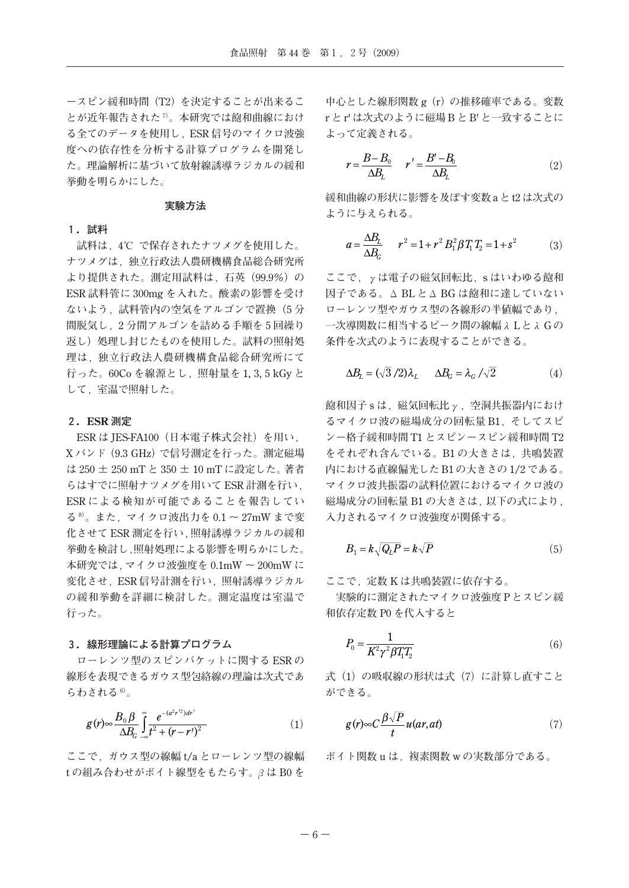**-スピン緩和時間(**T2**)を決定することが出来るこ とが近年報告された** <sup>7</sup>**)。本研究では飽和曲線におけ る全てのデータを使用し,**ESR **信号のマイクロ波強 度への依存性を分析する計算プログラムを開発し た。理論解析に基づいて放射線誘導ラジカルの緩和 挙動を明らかにした。**

# **実験方法**

#### **1.試料**

 **試料は,**4**℃ で保存されたナツメグを使用した。 ナツメグは,独立行政法人農研機構食品総合研究所 より提供された。測定用試料は,石英(**99.9**%)の** ESR **試料管に** 300mg **を入れた。酸素の影響を受け ないよう,試料管内の空気をアルゴンで置換(**5 **分 間脱気し,**2 **分間アルゴンを詰める手順を** 5 **回繰り 返し)処理し封じたものを使用した。試料の照射処 理は,独立行政法人農研機構食品総合研究所にて 行った。**60Co **を線源とし,照射量を** 1, 3, 5 kGy **と して,室温で照射した。**

## **2.ESR 測定**

ESR **は** JES-FA100**(日本電子株式会社)を用い,** X **バンド(**9.3 GHz**)で信号測定を行った。測定磁場 は** 250 **±** 250 mT **と** 350 **±** 10 mT **に設定した。著者 らはすでに照射ナツメグを用いて** ESR **計測を行い,** ESR **による検知が可能であることを報告してい る** <sup>8</sup>**)。また,マイクロ波出力を** 0.1 **~** 27mW **まで変 化させて** ESR **測定を行い,照射誘導ラジカルの緩和 挙動を検討し,照射処理による影響を明らかにした。 本研究では,マイクロ波強度を** 0.1mW **~** 200mW **に 変化させ,**ESR **信号計測を行い,照射誘導ラジカル の緩和挙動を詳細に検討した。測定温度は室温で 行った。**

# **3.線形理論による計算プログラム**

**ローレンツ型のスピンパケットに関する** ESR **の 線形を表現できるガウス型包絡線の理論は次式であ らわされる** <sup>6</sup>**)。**

$$
g(r) \sim \frac{B_0 \beta}{\Delta B_c} \int_{-\infty}^{\infty} \frac{e^{-(a^2 r'^2) dr'}}{t^2 + (r - r')^2}
$$
 (1)

**ここで,ガウス型の線幅** t/a **とローレンツ型の線幅** t **の組み合わせがボイト線型をもたらす。βは** B0 **を**

**中心とした線形関数** g**(**r**)の推移確率である。変数** r **と** r' **は次式のように磁場** B **と** B' **と一致することに よって定義される。**

$$
r = \frac{B - B_0}{\Delta B_L} \qquad r' = \frac{B' - B_0}{\Delta B_L} \tag{2}
$$

**緩和曲線の形状に影響を及ぼす変数** a **と** t2 **は次式の ように与えられる。**

$$
a = \frac{\Delta B_L}{\Delta B_G} \qquad r^2 = 1 + r^2 B_1^2 \beta T_1 T_2 = 1 + s^2 \tag{3}
$$

**ここで,γは電子の磁気回転比,**s **はいわゆる飽和 因子である。Δ** BL **とΔ** BG **は飽和に達していない ローレンツ型やガウス型の各線形の半値幅であり, 一次導関数に相当するピーク間の線幅λ** L **とλ** G **の 条件を次式のように表現することができる。**

$$
\Delta B_L = (\sqrt{3}/2)\lambda_L \qquad \Delta B_G = \lambda_G / \sqrt{2} \tag{4}
$$

**飽和因子** s **は,磁気回転比γ,空洞共振器内におけ るマイクロ波の磁場成分の回転量** B1**,そしてスピ ン-格子緩和時間** T1 **とスピン-スピン緩和時間** T2 **をそれぞれ含んでいる。**B1 **の大きさは,共鳴装置 内における直線偏光した** B1 **の大きさの** 1/2 **である。 マイクロ波共振器の試料位置におけるマイクロ波の 磁場成分の回転量** B1 **の大きさは,以下の式により, 入力されるマイクロ波強度が関係する。**

$$
B_1 = k \sqrt{Q_L P} = k \sqrt{P} \tag{5}
$$

**ここで,定数** K **は共鳴装置に依存する。**

 **実験的に測定されたマイクロ波強度** P **とスピン緩 和依存定数** P0 **を代入すると**

$$
P_0 = \frac{1}{K^2 \gamma^2 \beta T_1 T_2} \tag{6}
$$

**式(**1**)の吸収線の形状は式(**7**)に計算し直すこと ができる。**

$$
g(r) \infty C \frac{\beta \sqrt{P}}{t} u(ar, at)
$$
 (7)

**ボイト関数** u **は,複素関数** w **の実数部分である。**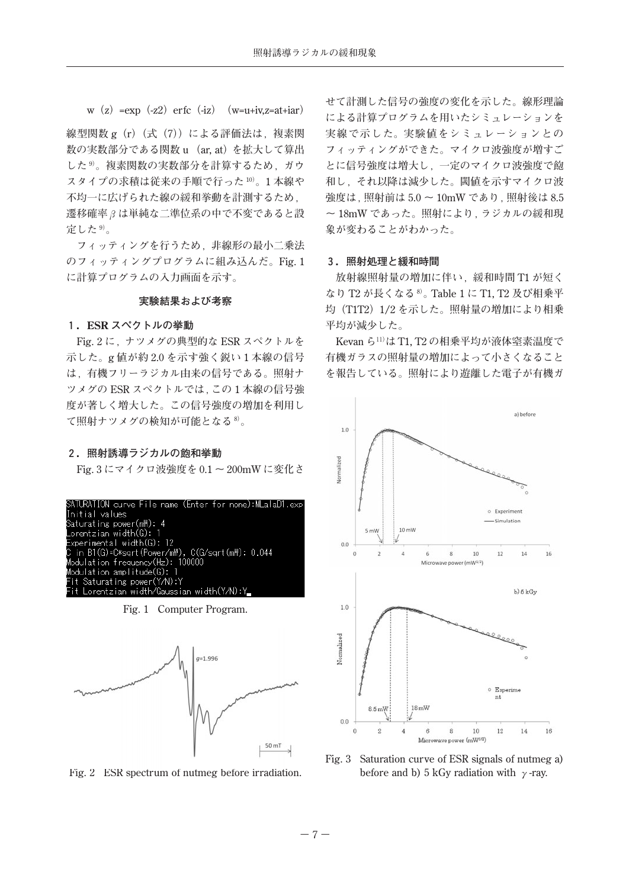w**(**z**)**=exp**(**-z2**)**erfc**(**-iz**)(**w=u+iv,z=at+iar**)**

**線型関数** g**(**r**)(式(**7**))による評価法は,複素関 数の実数部分である関数** u **(**ar, at**)を拡大して算出 した** <sup>9</sup>**)。複素関数の実数部分を計算するため,ガウ スタイプの求積は従来の手順で行った** <sup>10</sup>**)。**1 **本線や 不均一に広げられた線の緩和挙動を計測するため, 遷移確率βは単純な二準位系の中で不変であると設 定した** <sup>9</sup>**)。**

 **フィッティングを行うため,非線形の最小二乗法 のフィッティングプログラムに組み込んだ。**Fig. 1 **に計算プログラムの入力画面を示す。**

# **実験結果および考察**

#### **1.ESR スペクトルの挙動**

Fig. 2 **に,ナツメグの典型的な** ESR **スペクトルを 示した。**g **値が約** 2.0 **を示す強く鋭い** 1 **本線の信号 は,有機フリーラジカル由来の信号である。照射ナ ツメグの** ESR **スペクトルでは,この** 1 **本線の信号強 度が著しく増大した。この信号強度の増加を利用し て照射ナツメグの検知が可能となる** <sup>8</sup>**)。**

#### **2.照射誘導ラジカルの飽和挙動**

Fig. 3 **にマイクロ波強度を** 0.1 **~** 200mW **に変化さ**

| SATURATION curve File name (Enter for none):MLalaD1.exp |
|---------------------------------------------------------|
| Initial values                                          |
| Saturating power(m\): 4                                 |
| Lorentzian width(G): 1                                  |
| Experimental width(G): 12                               |
| C in B1(G)=C*sart(Power/m\), C(G/sart(m\): 0.044        |
| Modulation frequency(Hz): 100000                        |
| Modulation amplitude(G): 1                              |
| Fit Saturating power(Y/N):Y                             |
| Fit Lorentzian width/Gaussian width(Y/N):Y_             |
|                                                         |
| Fig. 1 Computer Program.                                |



Fig. 2 ESR spectrum of nutmeg before irradiation.

**せて計測した信号の強度の変化を示した。線形理論 による計算プログラムを用いたシミュレーションを 実線で示した。実験値をシミュレーションとの フィッティングができた。マイクロ波強度が増すご とに信号強度は増大し,一定のマイクロ波強度で飽 和し,それ以降は減少した。閾値を示すマイクロ波 強度は,照射前は** 5.0 **~** 10mW **であり,照射後は** 8.5 **~** 18mW **であった。照射により,ラジカルの緩和現 象が変わることがわかった。**

#### **3.照射処理と緩和時間**

**放射線照射量の増加に伴い,緩和時間** T1 **が短く なり** T2 **が長くなる** <sup>8</sup>**)。**Table 1 **に** T1, T2 **及び相乗平 均(**T1T2**)**1/2 **を示した。照射量の増加により相乗 平均が減少した。**

Kevan **ら11)は** T1, T2 **の相乗平均が液体窒素温度で 有機ガラスの照射量の増加によって小さくなること を報告している。照射により遊離した電子が有機ガ**



Fig. 3 Saturation curve of ESR signals of nutmeg a) before and b) 5 kGy radiation with **γ**-ray.